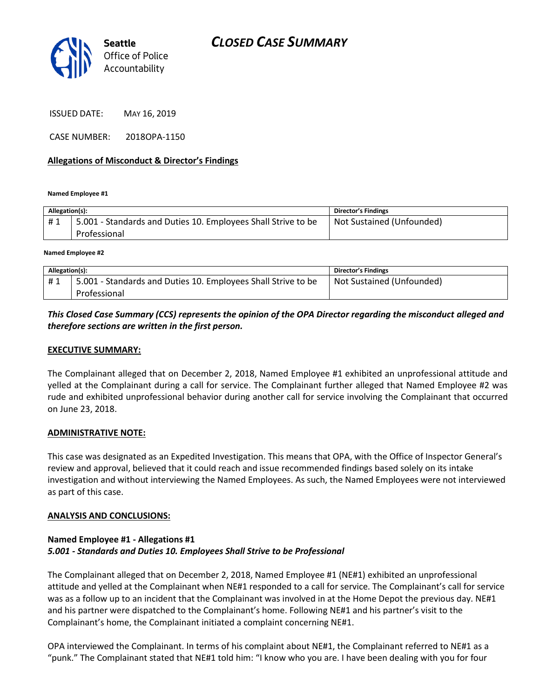

ISSUED DATE: MAY 16, 2019

CASE NUMBER: 2018OPA-1150

### **Allegations of Misconduct & Director's Findings**

**Named Employee #1**

| Allegation(s): |                                                                               | <b>Director's Findings</b> |
|----------------|-------------------------------------------------------------------------------|----------------------------|
| #1             | 5.001 - Standards and Duties 10. Employees Shall Strive to be<br>Professional | Not Sustained (Unfounded)  |
|                |                                                                               |                            |

**Named Employee #2**

| Allegation(s): |                                                               | <b>Director's Findings</b> |
|----------------|---------------------------------------------------------------|----------------------------|
| #1             | 5.001 - Standards and Duties 10. Employees Shall Strive to be | Not Sustained (Unfounded)  |
|                | Professional                                                  |                            |

# *This Closed Case Summary (CCS) represents the opinion of the OPA Director regarding the misconduct alleged and therefore sections are written in the first person.*

### **EXECUTIVE SUMMARY:**

The Complainant alleged that on December 2, 2018, Named Employee #1 exhibited an unprofessional attitude and yelled at the Complainant during a call for service. The Complainant further alleged that Named Employee #2 was rude and exhibited unprofessional behavior during another call for service involving the Complainant that occurred on June 23, 2018.

#### **ADMINISTRATIVE NOTE:**

This case was designated as an Expedited Investigation. This means that OPA, with the Office of Inspector General's review and approval, believed that it could reach and issue recommended findings based solely on its intake investigation and without interviewing the Named Employees. As such, the Named Employees were not interviewed as part of this case.

#### **ANALYSIS AND CONCLUSIONS:**

### **Named Employee #1 - Allegations #1** *5.001 - Standards and Duties 10. Employees Shall Strive to be Professional*

The Complainant alleged that on December 2, 2018, Named Employee #1 (NE#1) exhibited an unprofessional attitude and yelled at the Complainant when NE#1 responded to a call for service. The Complainant's call for service was as a follow up to an incident that the Complainant was involved in at the Home Depot the previous day. NE#1 and his partner were dispatched to the Complainant's home. Following NE#1 and his partner's visit to the Complainant's home, the Complainant initiated a complaint concerning NE#1.

OPA interviewed the Complainant. In terms of his complaint about NE#1, the Complainant referred to NE#1 as a "punk." The Complainant stated that NE#1 told him: "I know who you are. I have been dealing with you for four